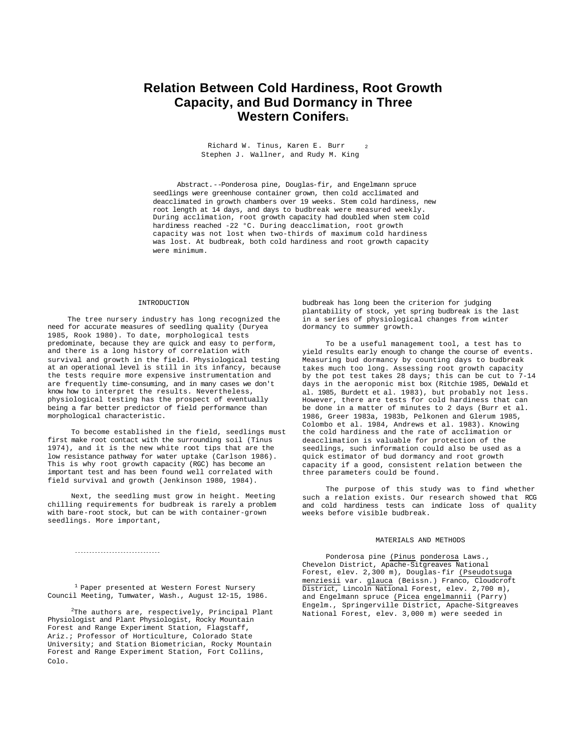# **Relation Between Cold Hardiness, Root Growth Capacity, and Bud Dormancy in Three Western Conifers<sup>1</sup>**

Richard W. Tinus, Karen E. Burr  $_2$ Stephen J. Wallner, and Rudy M. King

Abstract.--Ponderosa pine, Douglas-fir, and Engelmann spruce seedlings were greenhouse container grown, then cold acclimated and deacclimated in growth chambers over 19 weeks. Stem cold hardiness, new root length at 14 days, and days to budbreak were measured weekly. During acclimation, root growth capacity had doubled when stem cold hardiness reached -22 °C. During deacclimation, root growth capacity was not lost when two-thirds of maximum cold hardiness was lost. At budbreak, both cold hardiness and root growth capacity were minimum.

## INTRODUCTION

The tree nursery industry has long recognized the need for accurate measures of seedling quality (Duryea 1985, Rook 1980). To date, morphological tests predominate, because they are quick and easy to perform, and there is a long history of correlation with survival and growth in the field. Physiological testing at an operational level is still in its infancy, because the tests require more expensive instrumentation and are frequently time-consuming, and in many cases we don't know how to interpret the results. Nevertheless, physiological testing has the prospect of eventually being a far better predictor of field performance than morphological characteristic.

To become established in the field, seedlings must first make root contact with the surrounding soil (Tinus 1974), and it is the new white root tips that are the low resistance pathway for water uptake (Carlson 1986). This is why root growth capacity (RGC) has become an important test and has been found well correlated with field survival and growth (Jenkinson 1980, 1984).

Next, the seedling must grow in height. Meeting chilling requirements for budbreak is rarely a problem with bare-root stock, but can be with container-grown seedlings. More important,

budbreak has long been the criterion for judging plantability of stock, yet spring budbreak is the last in a series of physiological changes from winter dormancy to summer growth.

To be a useful management tool, a test has to yield results early enough to change the course of events. Measuring bud dormancy by counting days to budbreak takes much too long. Assessing root growth capacity by the pot test takes 28 days; this can be cut to 7-14 days in the aeroponic mist box (Ritchie 1985, DeWald et al. 1985, Burdett et al. 1983), but probably not less. However, there are tests for cold hardiness that can be done in a matter of minutes to 2 days (Burr et al. 1986, Greer 1983a, 1983b, Pelkonen and Glerum 1985, Colombo et al. 1984, Andrews et al. 1983). Knowing the cold hardiness and the rate of acclimation or deacclimation is valuable for protection of the seedlings, such information could also be used as a quick estimator of bud dormancy and root growth capacity if a good, consistent relation between the three parameters could be found.

The purpose of this study was to find whether such a relation exists. Our research showed that RCG and cold hardiness tests can indicate loss of quality weeks before visible budbreak.

### MATERIALS AND METHODS

Ponderosa pine (Pinus ponderosa Laws., Chevelon District, Apache-Sitgreaves National Forest, elev. 2,300 m), Douglas-fir (Pseudotsuga menziesii var. glauca (Beissn.) Franco, Cloudcroft District, Lincoln National Forest, elev. 2,700 m), and Engelmann spruce (Picea engelmannii (Parry) Engelm., Springerville District, Apache-Sitgreaves National Forest, elev. 3,000 m) were seeded in

 $1$  Paper presented at Western Forest Nursery Council Meeting, Tumwater, Wash., August 12-15, 1986.

------------------------------

 $2$ The authors are, respectively, Principal Plant Physiologist and Plant Physiologist, Rocky Mountain Forest and Range Experiment Station, Flagstaff, Ariz.; Professor of Horticulture, Colorado State University; and Station Biometrician, Rocky Mountain Forest and Range Experiment Station, Fort Collins, Colo.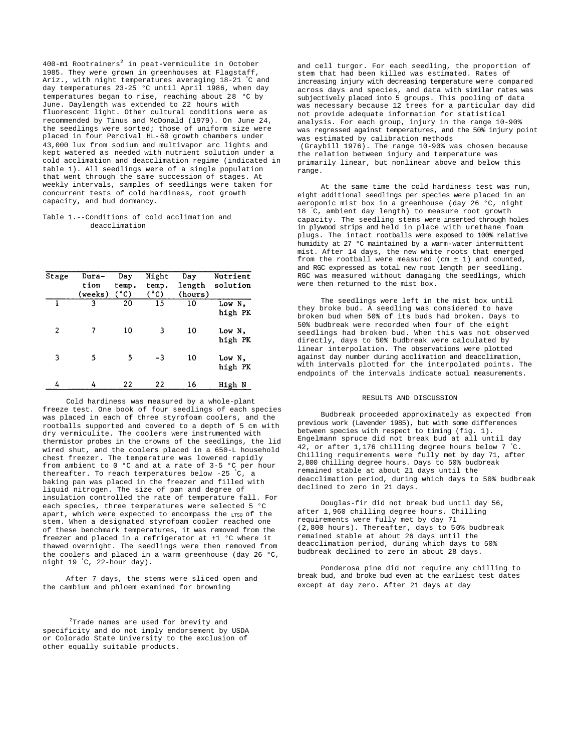$400$ -ml Rootrainers<sup>2</sup> in peat-vermiculite in October 1985. They were grown in greenhouses at Flagstaff, Ariz., with night temperatures averaging 18-21 °C and day temperatures 23-25 °C until April 1986, when day temperatures began to rise, reaching about 28 °C by June. Daylength was extended to 22 hours with fluorescent light. Other cultural conditions were as recommended by Tinus and McDonald (1979). On June 24, the seedlings were sorted; those of uniform size were placed in four Percival HL-60 growth chambers under 43,000 lux from sodium and multivapor arc lights and kept watered as needed with nutrient solution under a cold acclimation and deacclimation regime (indicated in table 1). All seedlings were of a single population that went through the same succession of stages. At weekly intervals, samples of seedlings were taken for concurrent tests of cold hardiness, root growth capacity, and bud dormancy.

# Table 1.--Conditions of cold acclimation and deacclimation

| Stage | Dura-<br>tion<br>(weeks) | Day<br>temp.<br>$(^{\circ}C)$ | Night<br>temp.<br>$(^{\circ}C)$ | Day<br>length<br>(hours) | Nutrient<br>solution |
|-------|--------------------------|-------------------------------|---------------------------------|--------------------------|----------------------|
|       | ٩                        | 20                            | 15                              | 10                       | Low N.<br>high PK    |
| 2     |                          | 10                            | 3                               | 10                       | Low N.<br>high PK    |
| 3     | 5                        | 5                             | -3                              | 10                       | Low N,<br>high PK    |
| 4     | 4                        | 22                            | 22                              | 16                       | High N               |

Cold hardiness was measured by a whole-plant freeze test. One book of four seedlings of each species was placed in each of three styrofoam coolers, and the rootballs supported and covered to a depth of 5 cm with dry vermiculite. The coolers were instrumented with thermistor probes in the crowns of the seedlings, the lid wired shut, and the coolers placed in a 650-L household chest freezer. The temperature was lowered rapidly from ambient to 0 °C and at a rate of 3-5 °C per hour thereafter. To reach temperatures below  $-25 \text{ °C}$ , a baking pan was placed in the freezer and filled with liquid nitrogen. The size of pan and degree of insulation controlled the rate of temperature fall. For each species, three temperatures were selected 5 °C apart, which were expected to encompass the  $L_{T50}$  of the stem. When a designated styrofoam cooler reached one of these benchmark temperatures, it was removed from the freezer and placed in a refrigerator at +1 °C where it thawed overnight. The seedlings were then removed from the coolers and placed in a warm greenhouse (day 26 °C, night 19 °C, 22-hour day).

After 7 days, the stems were sliced open and the cambium and phloem examined for browning

<sup>2</sup>Trade names are used for brevity and specificity and do not imply endorsement by USDA or Colorado State University to the exclusion of other equally suitable products.

and cell turgor. For each seedling, the proportion of stem that had been killed was estimated. Rates of increasing injury with decreasing temperature were compared across days and species, and data with similar rates was subjectively placed into 5 groups. This pooling of data was necessary because 12 trees for a particular day did not provide adequate information for statistical analysis. For each group, injury in the range 10-90% was regressed against temperatures, and the 50% injury point was estimated by calibration methods (Graybill 1976). The range 10-90% was chosen because

the relation between injury and temperature was primarily linear, but nonlinear above and below this range.

At the same time the cold hardiness test was run, eight additional seedlings per species were placed in an aeroponic mist box in a greenhouse (day 26 °C, night 18 °C, ambient day length) to measure root growth capacity. The seedling stems were inserted through holes in plywood strips and held in place with urethane foam plugs. The intact rootballs were exposed to 100% relative humidity at 27 °C maintained by a warm-water intermittent mist. After 14 days, the new white roots that emerged from the rootball were measured (cm ± 1) and counted, and RGC expressed as total new root length per seedling. RGC was measured without damaging the seedlings, which were then returned to the mist box.

The seedlings were left in the mist box until they broke bud. A seedling was considered to have broken bud when 50% of its buds had broken. Days to 50% budbreak were recorded when four of the eight seedlings had broken bud. When this was not observed directly, days to 50% budbreak were calculated by linear interpolation. The observations were plotted against day number during acclimation and deacclimation, with intervals plotted for the interpolated points. The endpoints of the intervals indicate actual measurements.

### RESULTS AND DISCUSSION

Budbreak proceeded approximately as expected from previous work (Lavender 1985), but with some differences between species with respect to timing (fig. 1). Engelmann spruce did not break bud at all until day 42, or after 1,176 chilling degree hours below 7  $\degree$ C. Chilling requirements were fully met by day 71, after 2,800 chilling degree hours. Days to 50% budbreak remained stable at about 21 days until the deacclimation period, during which days to 50% budbreak declined to zero in 21 days.

Douglas-fir did not break bud until day 56, after 1,960 chilling degree hours. Chilling requirements were fully met by day 71 (2,800 hours). Thereafter, days to 50% budbreak remained stable at about 26 days until the deacclimation period, during which days to 50% budbreak declined to zero in about 28 days.

Ponderosa pine did not require any chilling to break bud, and broke bud even at the earliest test dates except at day zero. After 21 days at day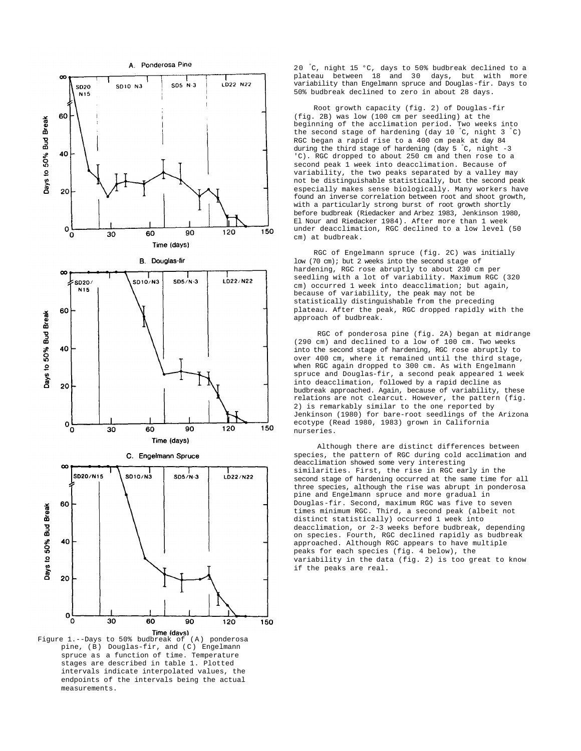

Figure 1.--Days to 50% budbreak of (A) ponderosa pine, (B) Douglas-fir, and (C) Engelmann spruce as a function of time. Temperature stages are described in table 1. Plotted intervals indicate interpolated values, the endpoints of the intervals being the actual measurements.

20 °C, night 15 °C, days to 50% budbreak declined to a plateau between 18 and 30 days, but with more variability than Engelmann spruce and Douglas-fir. Days to 50% budbreak declined to zero in about 28 days.

Root growth capacity (fig. 2) of Douglas-fir (fig. 2B) was low (100 cm per seedling) at the beginning of the acclimation period. Two weeks into the second stage of hardening (day 10  $^{\circ}$ C, night 3  $^{\circ}$ C) RGC began a rapid rise to a 400 cm peak at day 84 during the third stage of hardening (day  $5 \text{ °C}$ , night -3 'C). RGC dropped to about 250 cm and then rose to a second peak 1 week into deacclimation. Because of variability, the two peaks separated by a valley may not be distinguishable statistically, but the second peak especially makes sense biologically. Many workers have found an inverse correlation between root and shoot growth, with a particularly strong burst of root growth shortly before budbreak (Riedacker and Arbez 1983, Jenkinson 1980, El Nour and Riedacker 1984). After more than 1 week under deacclimation, RGC declined to a low level (50 cm) at budbreak.

RGC of Engelmann spruce (fig. 2C) was initially low (70 cm); but 2 weeks into the second stage of hardening, RGC rose abruptly to about 230 cm per seedling with a lot of variability. Maximum RGC (320 cm) occurred 1 week into deacclimation; but again, because of variability, the peak may not be statistically distinguishable from the preceding plateau. After the peak, RGC dropped rapidly with the -<br>approach of budbreak.

RGC of ponderosa pine (fig. 2A) began at midrange (290 cm) and declined to a low of 100 cm. Two weeks into the second stage of hardening, RGC rose abruptly to over 400 cm, where it remained until the third stage, when RGC again dropped to 300 cm. As with Engelmann spruce and Douglas-fir, a second peak appeared 1 week into deacclimation, followed by a rapid decline as budbreak approached. Again, because of variability, these relations are not clearcut. However, the pattern (fig. 2) is remarkably similar to the one reported by Jenkinson (1980) for bare-root seedlings of the Arizona ecotype (Read 1980, 1983) grown in California nurseries.

Although there are distinct differences between species, the pattern of RGC during cold acclimation and deacclimation showed some very interesting similarities. First, the rise in RGC early in the second stage of hardening occurred at the same time for all three species, although the rise was abrupt in ponderosa pine and Engelmann spruce and more gradual in Douglas-fir. Second, maximum RGC was five to seven times minimum RGC. Third, a second peak (albeit not distinct statistically) occurred 1 week into deacclimation, or 2-3 weeks before budbreak, depending on species. Fourth, RGC declined rapidly as budbreak approached. Although RGC appears to have multiple peaks for each species (fig. 4 below), the variability in the data (fig. 2) is too great to know if the peaks are real.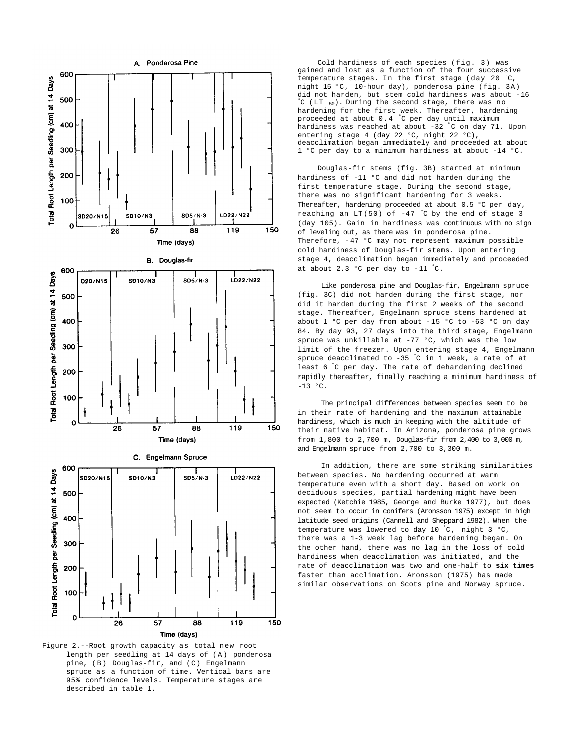

Figure 2.--Root growth capacity as total new root length per seedling at 14 days of (A) ponderosa pine, (B) Douglas-fir, and (C) Engelmann spruce as a function of time. Vertical bars are 95% confidence levels. Temperature stages are described in table 1.

Cold hardiness of each species (fig. 3) was gained and lost as a function of the four successive temperature stages. In the first stage (day 20 °C, night 15 °C, 10-hour day), ponderosa pine (fig. 3A) did not harden, but stem cold hardiness was about -16 °C (LT 50). During the second stage, there was no hardening for the first week. Thereafter, hardening proceeded at about 0.4 °C per day until maximum hardiness was reached at about -32 °C on day 71. Upon entering stage 4 (day 22 °C, night 22 °C), deacclimation began immediately and proceeded at about 1 °C per day to a minimum hardiness at about -14 °C.

Douglas-fir stems (fig. 3B) started at minimum hardiness of -11 °C and did not harden during the first temperature stage. During the second stage, there was no significant hardening for 3 weeks. Thereafter, hardening proceeded at about 0.5 °C per day, reaching an  $LT(50)$  of -47 °C by the end of stage 3 (day 105). Gain in hardiness was continuous with no sign of leveling out, as there was in ponderosa pine. Therefore, -47 °C may not represent maximum possible cold hardiness of Douglas-fir stems. Upon entering stage 4, deacclimation began immediately and proceeded at about 2.3 °C per day to -11 °C.

Like ponderosa pine and Douglas-fir, Engelmann spruce (fig. 3C) did not harden during the first stage, nor did it harden during the first 2 weeks of the second stage. Thereafter, Engelmann spruce stems hardened at about 1 °C per day from about -15 °C to -63 °C on day 84. By day 93, 27 days into the third stage, Engelmann spruce was unkillable at -77 °C, which was the low limit of the freezer. Upon entering stage 4, Engelmann spruce deacclimated to -35 °C in 1 week, a rate of at least 6 °C per day. The rate of dehardening declined rapidly thereafter, finally reaching a minimum hardiness of  $-13 °C$ .

The principal differences between species seem to be in their rate of hardening and the maximum attainable hardiness, which is much in keeping with the altitude of their native habitat. In Arizona, ponderosa pine grows from 1,800 to 2,700 m, Douglas-fir from 2,400 to 3,000 m, and Engelmann spruce from 2,700 to 3,300 m.

In addition, there are some striking similarities between species. No hardening occurred at warm temperature even with a short day. Based on work on deciduous species, partial hardening might have been expected (Ketchie 1985, George and Burke 1977), but does not seem to occur in conifers (Aronsson 1975) except in high latitude seed origins (Cannell and Sheppard 1982). When the temperature was lowered to day 10  $\degree$ C, night 3  $\degree$ C, there was a 1-3 week lag before hardening began. On the other hand, there was no lag in the loss of cold hardiness when deacclimation was initiated, and the rate of deacclimation was two and one-half to **six times**  faster than acclimation. Aronsson (1975) has made similar observations on Scots pine and Norway spruce.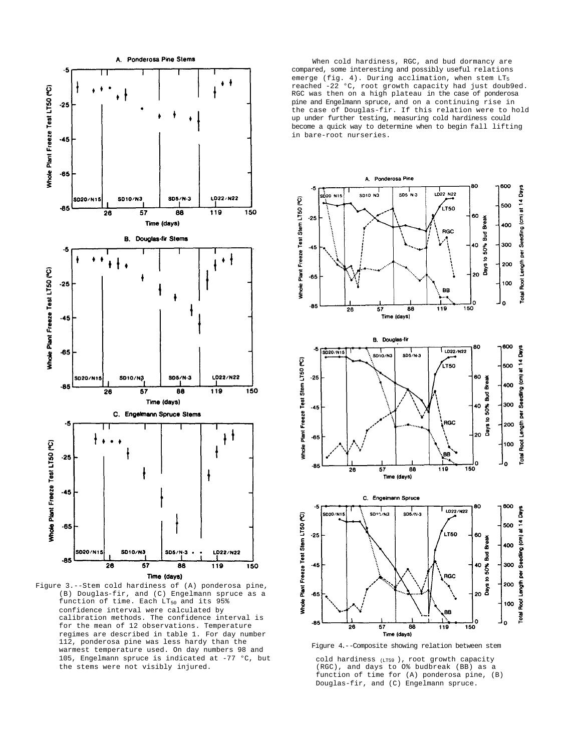

Figure 3.--Stem cold hardiness of (A) ponderosa pine, (B) Douglas-fir, and (C) Engelmann spruce as a function of time. Each  $LT_{50}$  and its 95% confidence interval were calculated by calibration methods. The confidence interval is for the mean of 12 observations. Temperature regimes are described in table 1. For day number 112, ponderosa pine was less hardy than the warmest temperature used. On day numbers 98 and 105, Engelmann spruce is indicated at -77 °C, but the stems were not visibly injured.

When cold hardiness, RGC, and bud dormancy are compared, some interesting and possibly useful relations emerge (fig. 4). During acclimation, when stem LT<sub>5</sub> reached -22 °C, root growth capacity had just doub9ed. RGC was then on a high plateau in the case of ponderosa pine and Engelmann spruce, and on a continuing rise in the case of Douglas-fir. If this relation were to hold up under further testing, measuring cold hardiness could become a quick way to determine when to begin fall lifting in bare-root nurseries.



Figure 4.--Composite showing relation between stem

cold hardiness (LT59 ), root growth capacity (RGC), and days to O% budbreak (BB) as a function of time for (A) ponderosa pine, (B) Douglas-fir, and (C) Engelmann spruce.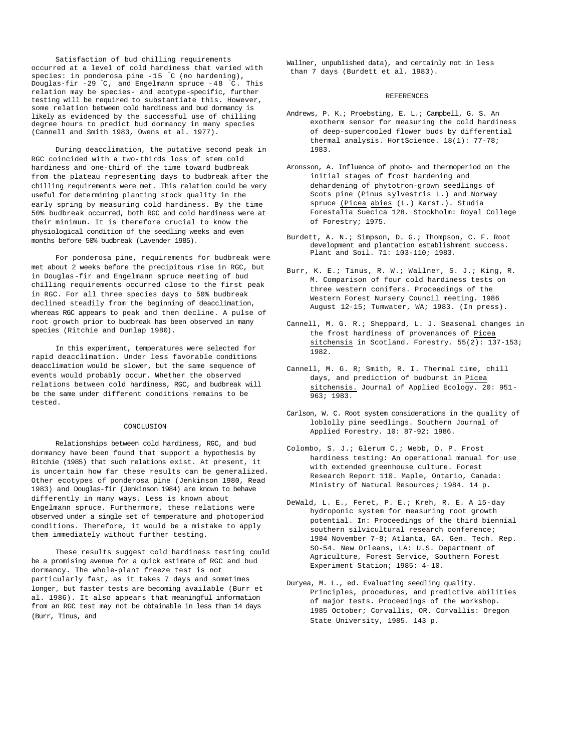Satisfaction of bud chilling requirements occurred at a level of cold hardiness that varied with species: in ponderosa pine -15 °C (no hardening), Douglas-fir -29 °C, and Engelmann spruce -48 °C. This relation may be species- and ecotype-specific, further testing will be required to substantiate this. However, some relation between cold hardiness and bud dormancy is likely as evidenced by the successful use of chilling degree hours to predict bud dormancy in many species (Cannell and Smith 1983, Owens et al. 1977).

During deacclimation, the putative second peak in RGC coincided with a two-thirds loss of stem cold hardiness and one-third of the time toward budbreak from the plateau representing days to budbreak after the chilling requirements were met. This relation could be very useful for determining planting stock quality in the early spring by measuring cold hardiness. By the time 50% budbreak occurred, both RGC and cold hardiness were at their minimum. It is therefore crucial to know the physiological condition of the seedling weeks and even months before 50% budbreak (Lavender 1985).

For ponderosa pine, requirements for budbreak were met about 2 weeks before the precipitous rise in RGC, but in Douglas-fir and Engelmann spruce meeting of bud chilling requirements occurred close to the first peak in RGC. For all three species days to 50% budbreak declined steadily from the beginning of deacclimation, whereas RGC appears to peak and then decline. A pulse of root growth prior to budbreak has been observed in many species (Ritchie and Dunlap 1980).

In this experiment, temperatures were selected for rapid deacclimation. Under less favorable conditions deacclimation would be slower, but the same sequence of events would probably occur. Whether the observed relations between cold hardiness, RGC, and budbreak will be the same under different conditions remains to be tested.

## CONCLUSTON

Relationships between cold hardiness, RGC, and bud dormancy have been found that support a hypothesis by Ritchie (1985) that such relations exist. At present, it is uncertain how far these results can be generalized. Other ecotypes of ponderosa pine (Jenkinson 1980, Read 1983) and Douglas-fir (Jenkinson 1984) are known to behave differently in many ways. Less is known about Engelmann spruce. Furthermore, these relations were observed under a single set of temperature and photoperiod conditions. Therefore, it would be a mistake to apply them immediately without further testing.

These results suggest cold hardiness testing could be a promising avenue for a quick estimate of RGC and bud dormancy. The whole-plant freeze test is not particularly fast, as it takes 7 days and sometimes longer, but faster tests are becoming available (Burr et al. 1986). It also appears that meaningful information from an RGC test may not be obtainable in less than 14 days (Burr, Tinus, and

Wallner, unpublished data), and certainly not in less than 7 days (Burdett et al. 1983).

# REFERENCES

- Andrews, P. K.; Proebsting, E. L.; Campbell, G. S. An exotherm sensor for measuring the cold hardiness of deep-supercooled flower buds by differential thermal analysis. HortScience. 18(1): 77-78; 1983.
- Aronsson, A. Influence of photo- and thermoperiod on the initial stages of frost hardening and dehardening of phytotron-grown seedlings of Scots pine (Pinus sylvestris L.) and Norway spruce (Picea abies (L.) Karst.). Studia Forestalia Suecica 128. Stockholm: Royal College of Forestry; 1975.
- Burdett, A. N.; Simpson, D. G.; Thompson, C. F. Root development and plantation establishment success. Plant and Soil. 71: 103-110; 1983.
- Burr, K. E.; Tinus, R. W.; Wallner, S. J.; King, R. M. Comparison of four cold hardiness tests on three western conifers. Proceedings of the Western Forest Nursery Council meeting. 1986 August 12-15; Tumwater, WA; 1983. (In press).
- Cannell, M. G. R.; Sheppard, L. J. Seasonal changes in the frost hardiness of provenances of Picea sitchensis in Scotland. Forestry. 55(2): 137-153; 1982.
- Cannell, M. G. R; Smith, R. I. Thermal time, chill days, and prediction of budburst in Picea sitchensis. Journal of Applied Ecology. 20: 951- 963; 1983.
- Carlson, W. C. Root system considerations in the quality of loblolly pine seedlings. Southern Journal of Applied Forestry. 10: 87-92; 1986.
- Colombo, S. J.; Glerum C.; Webb, D. P. Frost hardiness testing: An operational manual for use with extended greenhouse culture. Forest Research Report 110. Maple, Ontario, Canada: Ministry of Natural Resources; 1984. 14 p.
- DeWald, L. E., Feret, P. E.; Kreh, R. E. A 15-day hydroponic system for measuring root growth potential. In: Proceedings of the third biennial southern silvicultural research conference; 1984 November 7-8; Atlanta, GA. Gen. Tech. Rep. SO-54. New Orleans, LA: U.S. Department of Agriculture, Forest Service, Southern Forest Experiment Station; 1985: 4-10.
- Duryea, M. L., ed. Evaluating seedling quality. Principles, procedures, and predictive abilities of major tests. Proceedings of the workshop. 1985 October; Corvallis, OR. Corvallis: Oregon State University, 1985. 143 p.